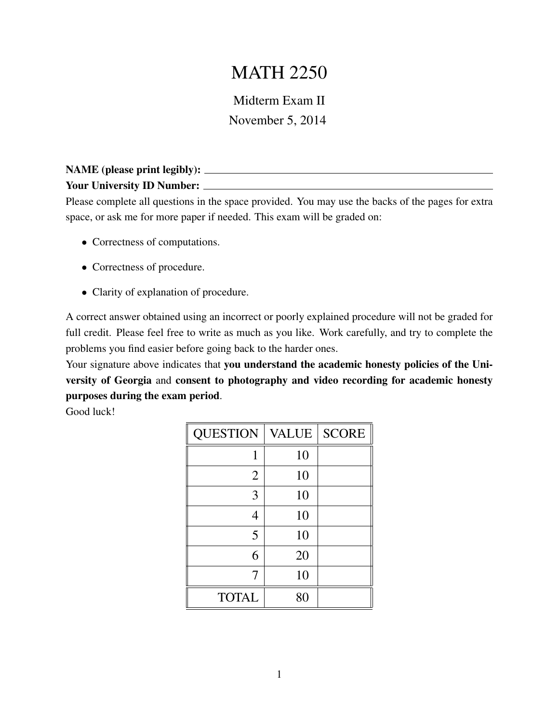## MATH 2250

Midterm Exam II November 5, 2014

## NAME (please print legibly): Your University ID Number:

Please complete all questions in the space provided. You may use the backs of the pages for extra space, or ask me for more paper if needed. This exam will be graded on:

- Correctness of computations.
- Correctness of procedure.
- Clarity of explanation of procedure.

A correct answer obtained using an incorrect or poorly explained procedure will not be graded for full credit. Please feel free to write as much as you like. Work carefully, and try to complete the problems you find easier before going back to the harder ones.

Your signature above indicates that you understand the academic honesty policies of the University of Georgia and consent to photography and video recording for academic honesty purposes during the exam period.

Good luck!

| <b>QUESTION</b> | <b>VALUE</b> | <b>SCORE</b> |
|-----------------|--------------|--------------|
| 1               | 10           |              |
| $\overline{2}$  | 10           |              |
| 3               | 10           |              |
| 4               | 10           |              |
| 5               | 10           |              |
| 6               | 20           |              |
| 7               | 10           |              |
| <b>TOTAL</b>    | 80           |              |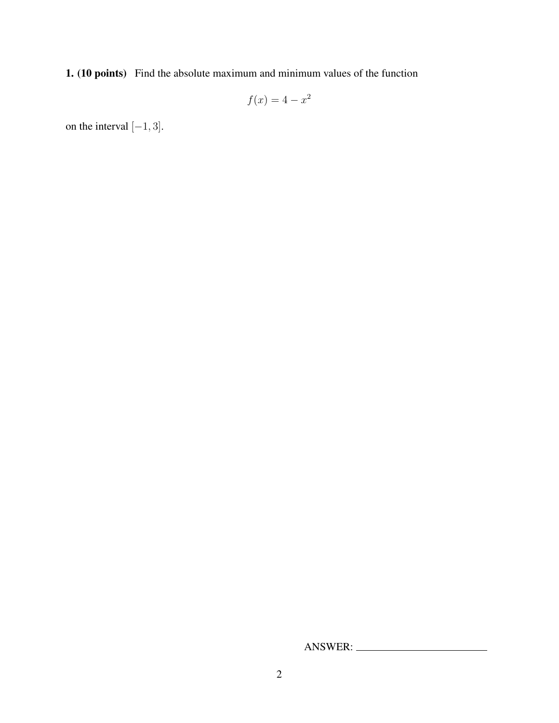1. (10 points) Find the absolute maximum and minimum values of the function

$$
f(x) = 4 - x^2
$$

on the interval  $[-1, 3]$ .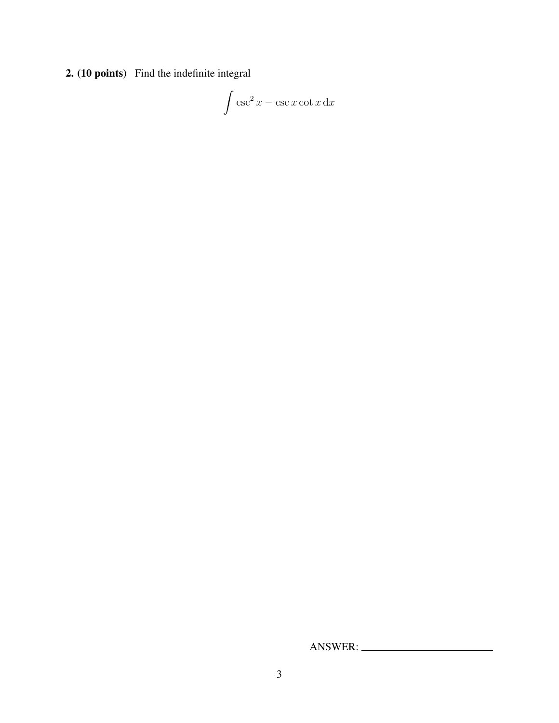2. (10 points) Find the indefinite integral

$$
\int \csc^2 x - \csc x \cot x \, \mathrm{d}x
$$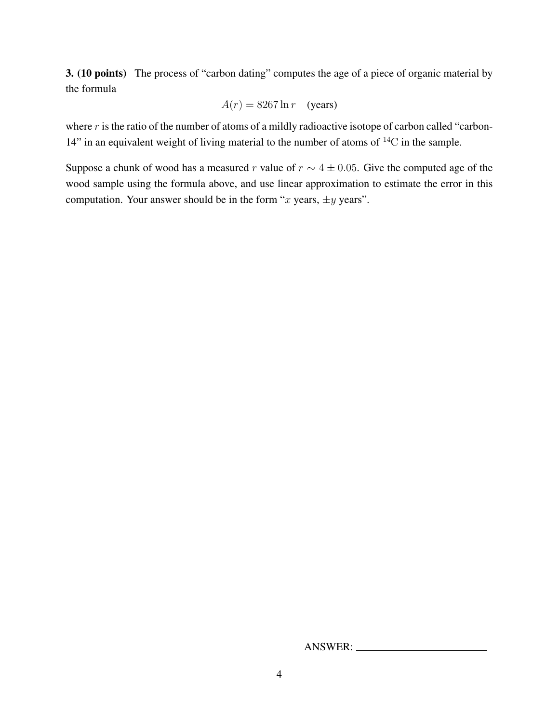3. (10 points) The process of "carbon dating" computes the age of a piece of organic material by the formula

$$
A(r) = 8267 \ln r \quad \text{(years)}
$$

where  $r$  is the ratio of the number of atoms of a mildly radioactive isotope of carbon called "carbon-14" in an equivalent weight of living material to the number of atoms of  ${}^{14}C$  in the sample.

Suppose a chunk of wood has a measured r value of  $r \sim 4 \pm 0.05$ . Give the computed age of the wood sample using the formula above, and use linear approximation to estimate the error in this computation. Your answer should be in the form "x years,  $\pm y$  years".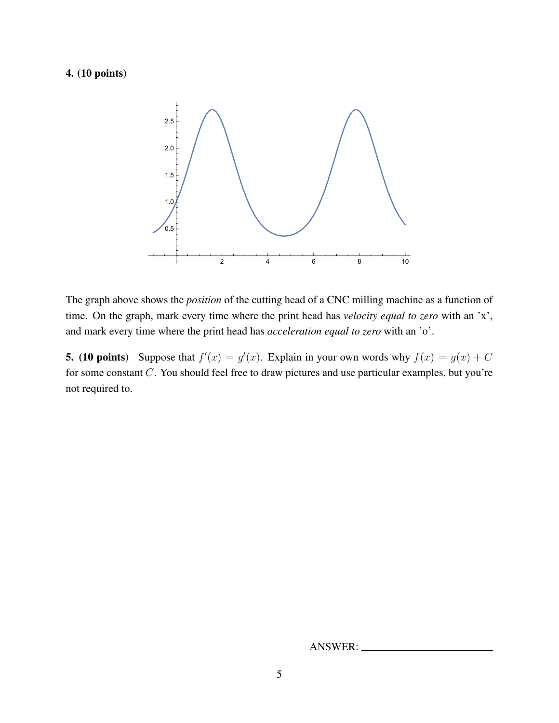## 4. (10 points)



The graph above shows the *position* of the cutting head of a CNC milling machine as a function of time. On the graph, mark every time where the print head has *velocity equal to zero* with an 'x', and mark every time where the print head has *acceleration equal to zero* with an 'o'.

**5.** (10 points) Suppose that  $f'(x) = g'(x)$ . Explain in your own words why  $f(x) = g(x) + C$ for some constant C. You should feel free to draw pictures and use particular examples, but you're not required to.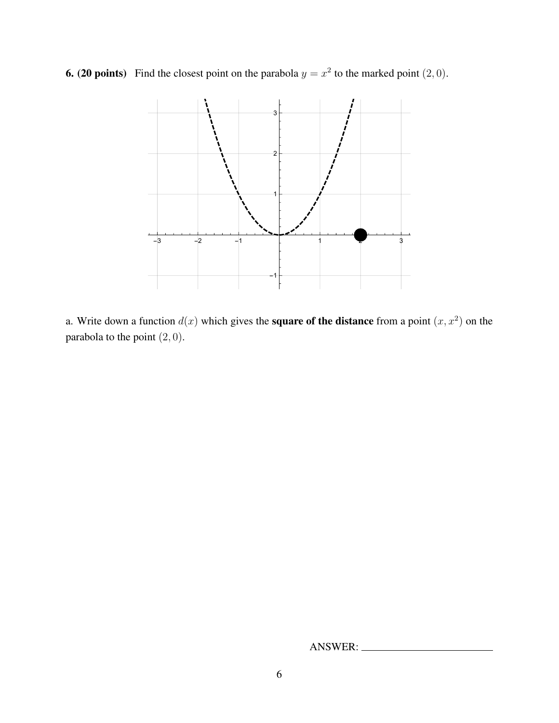**6. (20 points)** Find the closest point on the parabola  $y = x^2$  to the marked point  $(2, 0)$ .



a. Write down a function  $d(x)$  which gives the **square of the distance** from a point  $(x, x^2)$  on the parabola to the point  $(2, 0)$ .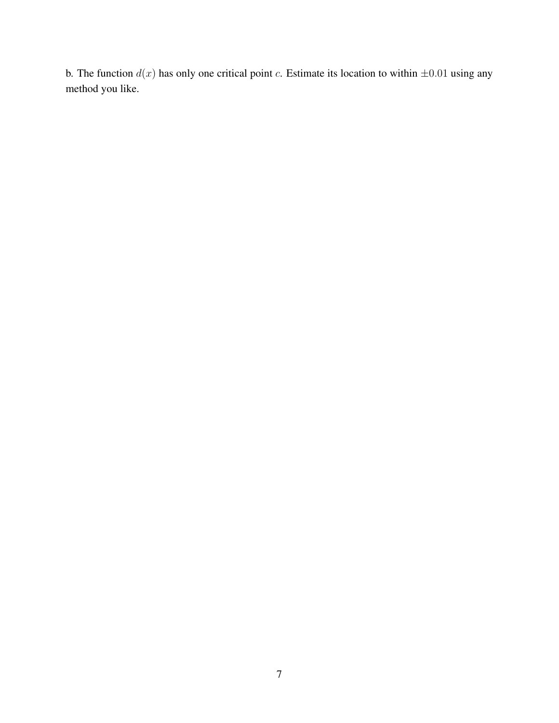b. The function  $d(x)$  has only one critical point c. Estimate its location to within  $\pm 0.01$  using any method you like.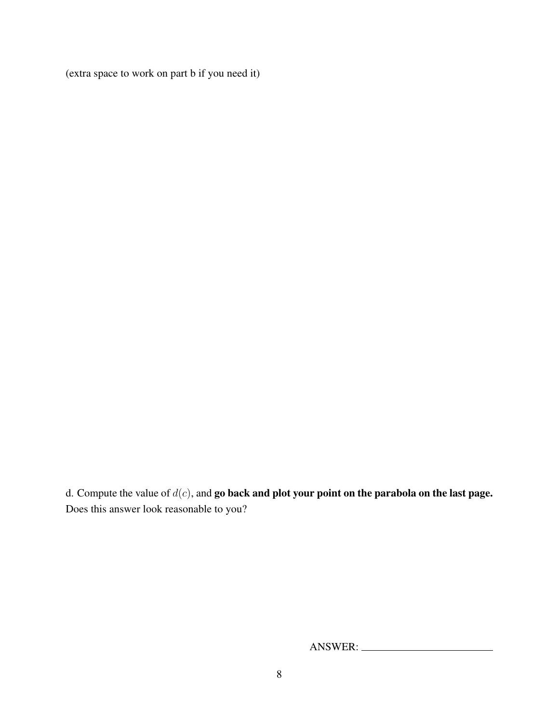(extra space to work on part b if you need it)

d. Compute the value of  $d(c)$ , and go back and plot your point on the parabola on the last page. Does this answer look reasonable to you?